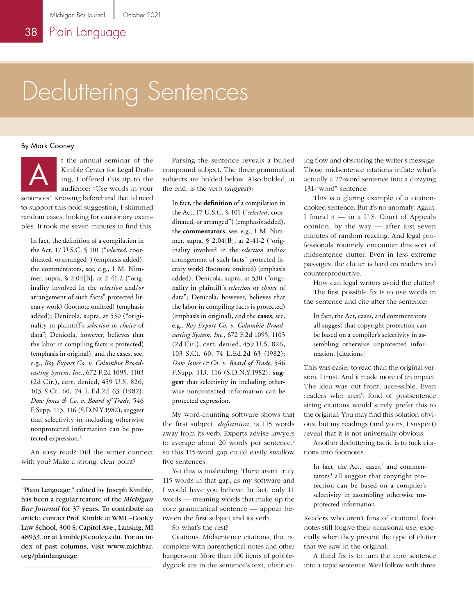## Decluttering Sentences

## By Mark Cooney



t the annual seminar of the Kimble Center for Legal Drafting, I offered this tip to the audience: "Use words in your

sentences." Knowing beforehand that I'd need to support this bold suggestion, I skimmed random cases, looking for cautionary examples. It took me seven minutes to find this:

In fact, the definition of a compilation in the Act, 17 U.S.C. § 101 ("*selected*, coordinated, or arranged") (emphasis added), the commentators, see, e.g., 1 M. Nimmer, supra, § 2.04[B], at 2-41-2 ("originality involved in the *selection* and/*or* arrangement of such facts" protected literary work) (footnote omitted) (emphasis added); Denicola, supra, at 530 ("originality in plaintiff's *selection* or *choice* of data"; Denicola, however, believes that the labor in compiling facts is protected) (emphasis in original), and the cases, see, e.g., *Roy Export Co. v. Columbia Broadcasting System, Inc.*, 672 F.2d 1095, 1103 (2d Cir.), cert. denied, 459 U.S. 826, 103 S.Ct. 60, 74 L.Ed.2d 63 (1982); *Dow Jones & Co. v. Board of Trade*, 546 F.Supp. 113, 116 (S.D.N.Y.1982), suggest that selectivity in including otherwise nonprotected information can be protected expression.<sup>1</sup>

An easy read? Did the writer connect with you? Make a strong, clear point?

"Plain Language," edited by Joseph Kimble, has been a regular feature of the *Michigan Bar Journal* for 37 years. To contribute an article, contact Prof. Kimble at WMU–Cooley Law School, 300 S. Capitol Ave., Lansing, MI 48933, or at kimblej@cooley.edu. For an index of past columns, visit www.michbar. org/plainlanguage.

t the annual seminar of the Parsing the sentence reveals a buried<br>Kimble Center for Legal Draft-compound subject. The three grammatical<br>ing, I offered this tip to the subjects are bolded below. Also bolded, at<br>audience: "U compound subject. The three grammatical subjects are bolded below. Also bolded, at the end, is the verb (*suggest*):

> In fact, the **definition** of a compilation in the Act, 17 U.S.C. § 101 ("*selected*, coordinated, or arranged") (emphasis added), the **commentators**, see, e.g., 1 M. Nimmer, supra, § 2.04[B], at 2-41-2 ("originality involved in the *selection* and/*or* arrangement of such facts" protected literary work) (footnote omitted) (emphasis added); Denicola, supra, at 530 ("originality in plaintiff's *selection* or *choice* of data"; Denicola, however, believes that the labor in compiling facts is protected) (emphasis in original), and the **cases**, see, e.g., *Roy Export Co. v. Columbia Broadcasting System, Inc.*, 672 F.2d 1095, 1103 (2d Cir.), cert. denied, 459 U.S. 826, 103 S.Ct. 60, 74 L.Ed.2d 63 (1982); *Dow Jones & Co. v. Board of Trade*, 546 F.Supp. 113, 116 (S.D.N.Y.1982), **suggest** that selectivity in including otherwise nonprotected information can be protected expression.

My word-counting software shows that the first subject, *definition*, is 115 words away from its verb. Experts advise lawyers to average about 20 words per sentence, $2$ so this 115-word gap could easily swallow five sentences.

Yet this is misleading. There aren't truly 115 words in that gap, as my software and I would have you believe. In fact, only 11 words — meaning words that make up the core grammatical sentence — appear between the first subject and its verb.

So what's the rest?

Citations. Midsentence citations, that is, complete with parenthetical notes and other hangers-on. More than 100 items of gobbledygook are in the sentence's text, obstructing flow and obscuring the writer's message. Those midsentence citations inflate what's actually a 27-word sentence into a dizzying 131-"word" sentence.

This is a glaring example of a citationchoked sentence. But it's no anomaly. Again, I found it — in a U.S. Court of Appeals opinion, by the way — after just seven minutes of random reading. And legal professionals routinely encounter this sort of midsentence clutter. Even in less extreme passages, the clutter is hard on readers and counterproductive.

How can legal writers avoid the clutter? The first possible fix is to use words in the sentence and cite after the sentence:

In fact, the Act, cases, and commentators all suggest that copyright protection can be based on a compiler's selectivity in assembling otherwise unprotected information. [citations]

This was easier to read than the original version, I trust. And it made more of an impact. The idea was out front, accessible. Even readers who aren't fond of postsentence string citations would surely prefer this to the original. You may find this solution obvious, but my readings (and yours, I suspect) reveal that it is not universally obvious.

Another decluttering tactic is to tuck citations into footnotes:

In fact, the Act,<sup>1</sup> cases,<sup>2</sup> and commentators<sup>3</sup> all suggest that copyright protection can be based on a compiler's selectivity in assembling otherwise unprotected information.

Readers who aren't fans of citational footnotes still forgive their occasional use, especially when they prevent the type of clutter that we saw in the original.

A third fix is to turn the core sentence into a topic sentence. We'd follow with three